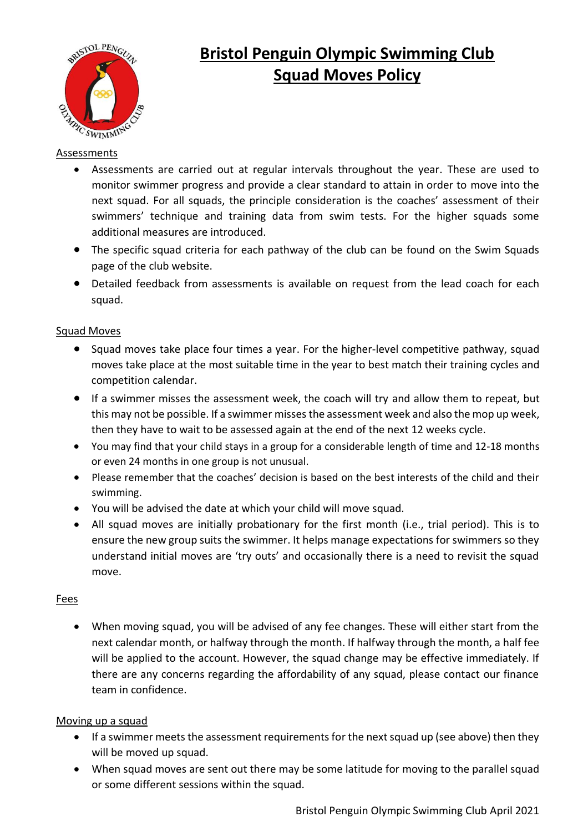

# **Bristol Penguin Olympic Swimming Club Squad Moves Policy**

## **Assessments**

- Assessments are carried out at regular intervals throughout the year. These are used to monitor swimmer progress and provide a clear standard to attain in order to move into the next squad. For all squads, the principle consideration is the coaches' assessment of their swimmers' technique and training data from swim tests. For the higher squads some additional measures are introduced.
- The specific squad criteria for each pathway of the club can be found on the Swim Squads page of the club website.
- Detailed feedback from assessments is available on request from the lead coach for each squad.

### Squad Moves

- Squad moves take place four times a year. For the higher-level competitive pathway, squad moves take place at the most suitable time in the year to best match their training cycles and competition calendar.
- If a swimmer misses the assessment week, the coach will try and allow them to repeat, but this may not be possible. If a swimmer misses the assessment week and also the mop up week, then they have to wait to be assessed again at the end of the next 12 weeks cycle.
- You may find that your child stays in a group for a considerable length of time and 12-18 months or even 24 months in one group is not unusual.
- Please remember that the coaches' decision is based on the best interests of the child and their swimming.
- You will be advised the date at which your child will move squad.
- All squad moves are initially probationary for the first month (i.e., trial period). This is to ensure the new group suits the swimmer. It helps manage expectations for swimmers so they understand initial moves are 'try outs' and occasionally there is a need to revisit the squad move.

### Fees

• When moving squad, you will be advised of any fee changes. These will either start from the next calendar month, or halfway through the month. If halfway through the month, a half fee will be applied to the account. However, the squad change may be effective immediately. If there are any concerns regarding the affordability of any squad, please contact our finance team in confidence.

### Moving up a squad

- If a swimmer meets the assessment requirements for the next squad up (see above) then they will be moved up squad.
- When squad moves are sent out there may be some latitude for moving to the parallel squad or some different sessions within the squad.